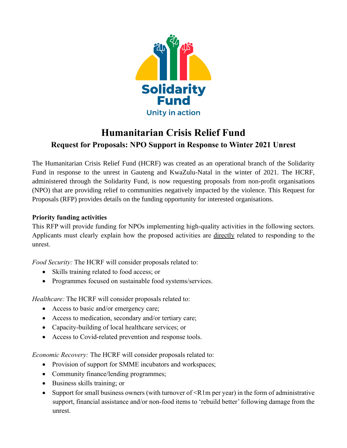

# **Humanitarian Crisis Relief Fund Request for Proposals: NPO Support in Response to Winter 2021 Unrest**

The Humanitarian Crisis Relief Fund (HCRF) was created as an operational branch of the Solidarity Fund in response to the unrest in Gauteng and KwaZulu-Natal in the winter of 2021. The HCRF, administered through the Solidarity Fund, is now requesting proposals from non-profit organisations (NPO) that are providing relief to communities negatively impacted by the violence. This Request for Proposals (RFP) provides details on the funding opportunity for interested organisations.

#### **Priority funding activities**

This RFP will provide funding for NPOs implementing high-quality activities in the following sectors. Applicants must clearly explain how the proposed activities are directly related to responding to the unrest.

*Food Security:* The HCRF will consider proposals related to:

- Skills training related to food access; or
- Programmes focused on sustainable food systems/services.

*Healthcare:* The HCRF will consider proposals related to:

- Access to basic and/or emergency care;
- Access to medication, secondary and/or tertiary care;
- Capacity-building of local healthcare services; or
- Access to Covid-related prevention and response tools.

*Economic Recovery:* The HCRF will consider proposals related to:

- Provision of support for SMME incubators and workspaces;
- Community finance/lending programmes;
- Business skills training; or
- Support for small business owners (with turnover of  $\leq R1$ m per year) in the form of administrative support, financial assistance and/or non-food items to 'rebuild better' following damage from the unrest.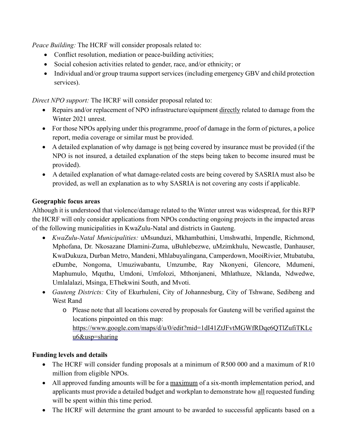*Peace Building:* The HCRF will consider proposals related to:

- Conflict resolution, mediation or peace-building activities;
- Social cohesion activities related to gender, race, and/or ethnicity; or
- Individual and/or group trauma support services (including emergency GBV and child protection services).

*Direct NPO support:* The HCRF will consider proposal related to:

- Repairs and/or replacement of NPO infrastructure/equipment directly related to damage from the Winter 2021 unrest.
- For those NPOs applying under this programme, proof of damage in the form of pictures, a police report, media coverage or similar must be provided.
- A detailed explanation of why damage is not being covered by insurance must be provided (if the NPO is not insured, a detailed explanation of the steps being taken to become insured must be provided).
- A detailed explanation of what damage-related costs are being covered by SASRIA must also be provided, as well an explanation as to why SASRIA is not covering any costs if applicable.

#### **Geographic focus areas**

Although it is understood that violence/damage related to the Winter unrest was widespread, for this RFP the HCRF will only consider applications from NPOs conducting ongoing projects in the impacted areas of the following municipalities in KwaZulu-Natal and districts in Gauteng.

- *KwaZulu-Natal Municipalities:* uMsunduzi, Mkhambathini, Umshwathi, Impendle, Richmond, Mphofana, Dr. Nkosazane Dlamini-Zuma, uBuhlebezwe, uMzimkhulu, Newcastle, Danhauser, KwaDukuza, Durban Metro, Mandeni, Mhlabuyalingana, Camperdown, MooiRivier, Mtubatuba, eDumbe, Nongoma, Umuziwabantu, Umzumbe, Ray Nkonyeni, Glencore, Mdumeni, Maphumulo, Mquthu, Umdoni, Umfolozi, Mthonjaneni, Mhlathuze, Nklanda, Ndwedwe, Umlalalazi, Msinga, EThekwini South, and Mvoti.
- *Gauteng Districts:* City of Ekurhuleni, City of Johannesburg, City of Tshwane, Sedibeng and West Rand
	- o Please note that all locations covered by proposals for Gauteng will be verified against the locations pinpointed on this map: [https://www.google.com/maps/d/u/0/edit?mid=1dI41ZtJFvtMGWfRDqe6QTlZufiTKLc](https://www.google.com/maps/d/u/0/edit?mid=1dI41ZtJFvtMGWfRDqe6QTlZufiTKLcu6&usp=sharing) [u6&usp=sharing](https://www.google.com/maps/d/u/0/edit?mid=1dI41ZtJFvtMGWfRDqe6QTlZufiTKLcu6&usp=sharing)

#### **Funding levels and details**

- The HCRF will consider funding proposals at a minimum of R500 000 and a maximum of R10 million from eligible NPOs.
- All approved funding amounts will be for a maximum of a six-month implementation period, and applicants must provide a detailed budget and workplan to demonstrate how all requested funding will be spent within this time period.
- The HCRF will determine the grant amount to be awarded to successful applicants based on a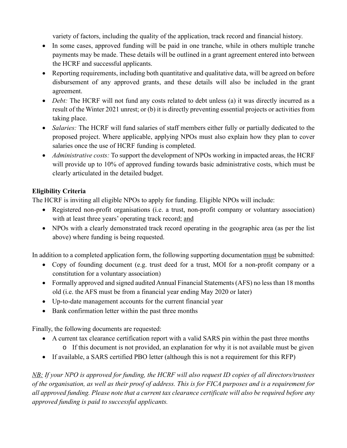variety of factors, including the quality of the application, track record and financial history.

- In some cases, approved funding will be paid in one tranche, while in others multiple tranche payments may be made. These details will be outlined in a grant agreement entered into between the HCRF and successful applicants.
- Reporting requirements, including both quantitative and qualitative data, will be agreed on before disbursement of any approved grants, and these details will also be included in the grant agreement.
- *Debt:* The HCRF will not fund any costs related to debt unless (a) it was directly incurred as a result of the Winter 2021 unrest; or (b) it is directly preventing essential projects or activities from taking place.
- *Salaries:* The HCRF will fund salaries of staff members either fully or partially dedicated to the proposed project. Where applicable, applying NPOs must also explain how they plan to cover salaries once the use of HCRF funding is completed.
- *Administrative costs:* To support the development of NPOs working in impacted areas, the HCRF will provide up to 10% of approved funding towards basic administrative costs, which must be clearly articulated in the detailed budget.

### **Eligibility Criteria**

The HCRF is inviting all eligible NPOs to apply for funding. Eligible NPOs will include:

- Registered non-profit organisations (i.e. a trust, non-profit company or voluntary association) with at least three years' operating track record; and
- NPOs with a clearly demonstrated track record operating in the geographic area (as per the list above) where funding is being requested.

In addition to a completed application form, the following supporting documentation must be submitted:

- Copy of founding document (e.g. trust deed for a trust, MOI for a non-profit company or a constitution for a voluntary association)
- Formally approved and signed audited Annual Financial Statements (AFS) no less than 18 months old (i.e. the AFS must be from a financial year ending May 2020 or later)
- Up-to-date management accounts for the current financial year
- Bank confirmation letter within the past three months

Finally, the following documents are requested:

- A current tax clearance certification report with a valid SARS pin within the past three months
	- o If this document is not provided, an explanation for why it is not available must be given
- If available, a SARS certified PBO letter (although this is not a requirement for this RFP)

NB: If your NPO is approved for funding, the HCRF will also request ID copies of all directors/trustees of the organisation, as well as their proof of address. This is for FICA purposes and is a requirement for all approved funding. Please note that a current tax clearance certificate will also be required before any *approved funding is paid to successful applicants.*